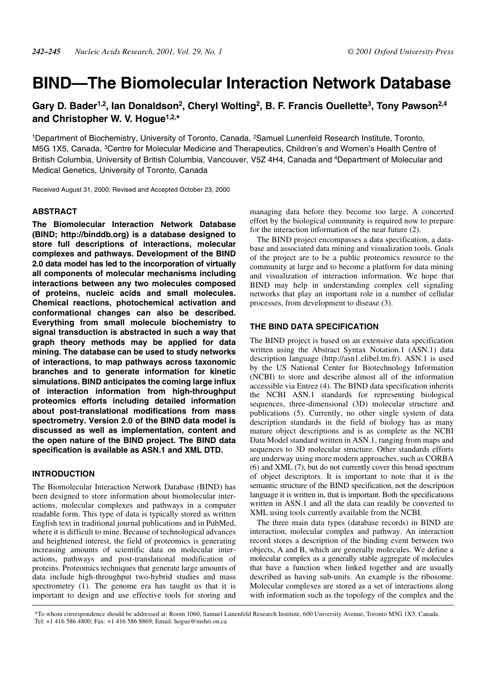# **BIND—The Biomolecular Interaction Network Database**

# Gary D. Bader<sup>1,2</sup>, Ian Donaldson<sup>2</sup>, Cheryl Wolting<sup>2</sup>, B. F. Francis Ouellette<sup>3</sup>, Tony Pawson<sup>2,4</sup> **and Christopher W. V. Hogue1,2,\***

1Department of Biochemistry, University of Toronto, Canada, 2Samuel Lunenfeld Research Institute, Toronto, M5G 1X5, Canada, 3Centre for Molecular Medicine and Therapeutics, Children's and Women's Health Centre of British Columbia, University of British Columbia, Vancouver, V5Z 4H4, Canada and 4Department of Molecular and Medical Genetics, University of Toronto, Canada

Received August 31, 2000; Revised and Accepted October 23, 2000

## **ABSTRACT**

**The Biomolecular Interaction Network Database (BIND; http://binddb.org) is a database designed to store full descriptions of interactions, molecular complexes and pathways. Development of the BIND 2.0 data model has led to the incorporation of virtually all components of molecular mechanisms including interactions between any two molecules composed of proteins, nucleic acids and small molecules. Chemical reactions, photochemical activation and conformational changes can also be described. Everything from small molecule biochemistry to signal transduction is abstracted in such a way that graph theory methods may be applied for data mining. The database can be used to study networks of interactions, to map pathways across taxonomic branches and to generate information for kinetic simulations. BIND anticipates the coming large influx of interaction information from high-throughput proteomics efforts including detailed information about post-translational modifications from mass spectrometry. Version 2.0 of the BIND data model is discussed as well as implementation, content and the open nature of the BIND project. The BIND data specification is available as ASN.1 and XML DTD.**

#### **INTRODUCTION**

The Biomolecular Interaction Network Database (BIND) has been designed to store information about biomolecular interactions, molecular complexes and pathways in a computer readable form. This type of data is typically stored as written English text in traditional journal publications and in PubMed, where it is difficult to mine. Because of technological advances and heightened interest, the field of proteomics is generating increasing amounts of scientific data on molecular interactions, pathways and post-translational modification of proteins. Proteomics techniques that generate large amounts of data include high-throughput two-hybrid studies and mass spectrometry (1). The genome era has taught us that it is important to design and use effective tools for storing and

managing data before they become too large. A concerted effort by the biological community is required now to prepare for the interaction information of the near future (2).

The BIND project encompasses a data specification, a database and associated data mining and visualization tools. Goals of the project are to be a public proteomics resource to the community at large and to become a platform for data mining and visualization of interaction information. We hope that BIND may help in understanding complex cell signaling networks that play an important role in a number of cellular processes, from development to disease (3).

# **THE BIND DATA SPECIFICATION**

The BIND project is based on an extensive data specification written using the Abstract Syntax Notation.1 (ASN.1) data description language (http://asn1.elibel.tm.fr). ASN.1 is used by the US National Center for Biotechnology Information (NCBI) to store and describe almost all of the information accessible via Entrez (4). The BIND data specification inherits the NCBI ASN.1 standards for representing biological sequences, three-dimensional (3D) molecular structure and publications (5). Currently, no other single system of data description standards in the field of biology has as many mature object descriptions and is as complete as the NCBI Data Model standard written in ASN.1, ranging from maps and sequences to 3D molecular structure. Other standards efforts are underway using more modern approaches, such as CORBA (6) and XML (7), but do not currently cover this broad spectrum of object descriptors. It is important to note that it is the semantic structure of the BIND specification, not the description language it is written in, that is important. Both the specifications written in ASN.1 and all the data can readily be converted to XML using tools currently available from the NCBI.

The three main data types (database records) in BIND are interaction, molecular complex and pathway. An interaction record stores a description of the binding event between two objects, A and B, which are generally molecules. We define a molecular complex as a generally stable aggregate of molecules that have a function when linked together and are usually described as having sub-units. An example is the ribosome. Molecular complexes are stored as a set of interactions along with information such as the topology of the complex and the

\*To whom correspondence should be addressed at: Room 1060, Samuel Lunenfeld Research Institute, 600 University Avenue, Toronto M5G 1X5, Canada. Tel: +1 416 586 4800; Fax: +1 416 586 8869; Email: hogue@mshri.on.ca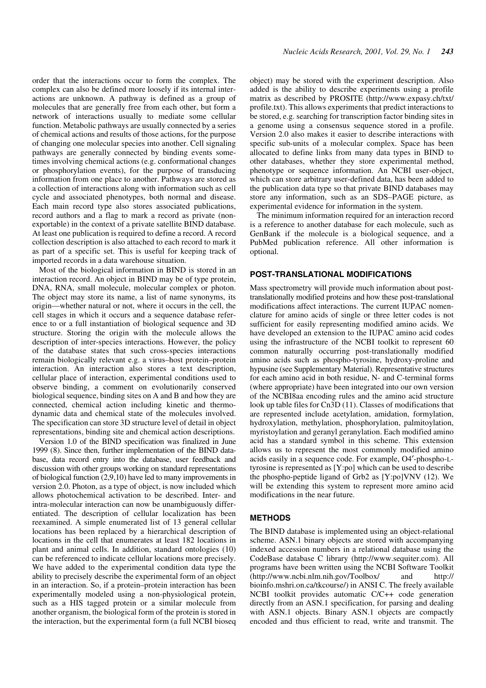order that the interactions occur to form the complex. The complex can also be defined more loosely if its internal interactions are unknown. A pathway is defined as a group of molecules that are generally free from each other, but form a network of interactions usually to mediate some cellular function. Metabolic pathways are usually connected by a series of chemical actions and results of those actions, for the purpose of changing one molecular species into another. Cell signaling pathways are generally connected by binding events sometimes involving chemical actions (e.g. conformational changes or phosphorylation events), for the purpose of transducing information from one place to another. Pathways are stored as a collection of interactions along with information such as cell cycle and associated phenotypes, both normal and disease. Each main record type also stores associated publications, record authors and a flag to mark a record as private (nonexportable) in the context of a private satellite BIND database. At least one publication is required to define a record. A record collection description is also attached to each record to mark it as part of a specific set. This is useful for keeping track of imported records in a data warehouse situation.

Most of the biological information in BIND is stored in an interaction record. An object in BIND may be of type protein, DNA, RNA, small molecule, molecular complex or photon. The object may store its name, a list of name synonyms, its origin—whether natural or not, where it occurs in the cell, the cell stages in which it occurs and a sequence database reference to or a full instantiation of biological sequence and 3D structure. Storing the origin with the molecule allows the description of inter-species interactions. However, the policy of the database states that such cross-species interactions remain biologically relevant e.g. a virus–host protein–protein interaction. An interaction also stores a text description, cellular place of interaction, experimental conditions used to observe binding, a comment on evolutionarily conserved biological sequence, binding sites on A and B and how they are connected, chemical action including kinetic and thermodynamic data and chemical state of the molecules involved. The specification can store 3D structure level of detail in object representations, binding site and chemical action descriptions.

Version 1.0 of the BIND specification was finalized in June 1999 (8). Since then, further implementation of the BIND database, data record entry into the database, user feedback and discussion with other groups working on standard representations of biological function (2,9,10) have led to many improvements in version 2.0. Photon, as a type of object, is now included which allows photochemical activation to be described. Inter- and intra-molecular interaction can now be unambiguously differentiated. The description of cellular localization has been reexamined. A simple enumerated list of 13 general cellular locations has been replaced by a hierarchical description of locations in the cell that enumerates at least 182 locations in plant and animal cells. In addition, standard ontologies (10) can be referenced to indicate cellular locations more precisely. We have added to the experimental condition data type the ability to precisely describe the experimental form of an object in an interaction. So, if a protein–protein interaction has been experimentally modeled using a non-physiological protein, such as a HIS tagged protein or a similar molecule from another organism, the biological form of the protein is stored in the interaction, but the experimental form (a full NCBI bioseq object) may be stored with the experiment description. Also added is the ability to describe experiments using a profile matrix as described by PROSITE (http://www.expasy.ch/txt/ profile.txt). This allows experiments that predict interactions to be stored, e.g. searching for transcription factor binding sites in a genome using a consensus sequence stored in a profile. Version 2.0 also makes it easier to describe interactions with specific sub-units of a molecular complex. Space has been allocated to define links from many data types in BIND to other databases, whether they store experimental method, phenotype or sequence information. An NCBI user-object, which can store arbitrary user-defined data, has been added to the publication data type so that private BIND databases may store any information, such as an SDS–PAGE picture, as experimental evidence for information in the system.

The minimum information required for an interaction record is a reference to another database for each molecule, such as GenBank if the molecule is a biological sequence, and a PubMed publication reference. All other information is optional.

#### **POST-TRANSLATIONAL MODIFICATIONS**

Mass spectrometry will provide much information about posttranslationally modified proteins and how these post-translational modifications affect interactions. The current IUPAC nomenclature for amino acids of single or three letter codes is not sufficient for easily representing modified amino acids. We have developed an extension to the IUPAC amino acid codes using the infrastructure of the NCBI toolkit to represent 60 common naturally occurring post-translationally modified amino acids such as phospho-tyrosine, hydroxy-proline and hypusine (see Supplementary Material). Representative structures for each amino acid in both residue, N- and C-terminal forms (where appropriate) have been integrated into our own version of the NCBI8aa encoding rules and the amino acid structure look up table files for Cn3D (11). Classes of modifications that are represented include acetylation, amidation, formylation, hydroxylation, methylation, phosphorylation, palmitoylation, myristoylation and geranyl geranylation. Each modified amino acid has a standard symbol in this scheme. This extension allows us to represent the most commonly modified amino acids easily in a sequence code. For example, O4′-phospho-Ltyrosine is represented as [Y:po] which can be used to describe the phospho-peptide ligand of Grb2 as [Y:po]VNV (12). We will be extending this system to represent more amino acid modifications in the near future.

#### **METHODS**

The BIND database is implemented using an object-relational scheme. ASN.1 binary objects are stored with accompanying indexed accession numbers in a relational database using the CodeBase database C library (http://www.sequiter.com). All programs have been written using the NCBI Software Toolkit (http://www.ncbi.nlm.nih.gov/Toolbox/ and http:// bioinfo.mshri.on.ca/tkcourse/) in ANSI C. The freely available NCBI toolkit provides automatic C/C++ code generation directly from an ASN.1 specification, for parsing and dealing with ASN.1 objects. Binary ASN.1 objects are compactly encoded and thus efficient to read, write and transmit. The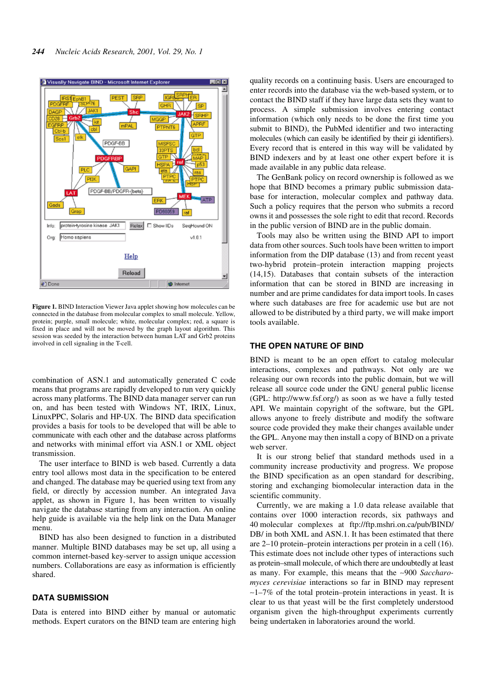

**Figure 1.** BIND Interaction Viewer Java applet showing how molecules can be connected in the database from molecular complex to small molecule. Yellow, protein; purple, small molecule; white, molecular complex; red, a square is fixed in place and will not be moved by the graph layout algorithm. This session was seeded by the interaction between human LAT and Grb2 proteins involved in cell signaling in the T-cell.

combination of ASN.1 and automatically generated C code means that programs are rapidly developed to run very quickly across many platforms. The BIND data manager server can run on, and has been tested with Windows NT, IRIX, Linux, LinuxPPC, Solaris and HP-UX. The BIND data specification provides a basis for tools to be developed that will be able to communicate with each other and the database across platforms and networks with minimal effort via ASN.1 or XML object transmission.

The user interface to BIND is web based. Currently a data entry tool allows most data in the specification to be entered and changed. The database may be queried using text from any field, or directly by accession number. An integrated Java applet, as shown in Figure 1, has been written to visually navigate the database starting from any interaction. An online help guide is available via the help link on the Data Manager menu.

BIND has also been designed to function in a distributed manner. Multiple BIND databases may be set up, all using a common internet-based key-server to assign unique accession numbers. Collaborations are easy as information is efficiently shared.

## **DATA SUBMISSION**

Data is entered into BIND either by manual or automatic methods. Expert curators on the BIND team are entering high quality records on a continuing basis. Users are encouraged to enter records into the database via the web-based system, or to contact the BIND staff if they have large data sets they want to process. A simple submission involves entering contact information (which only needs to be done the first time you submit to BIND), the PubMed identifier and two interacting molecules (which can easily be identified by their gi identifiers). Every record that is entered in this way will be validated by BIND indexers and by at least one other expert before it is made available in any public data release.

The GenBank policy on record ownership is followed as we hope that BIND becomes a primary public submission database for interaction, molecular complex and pathway data. Such a policy requires that the person who submits a record owns it and possesses the sole right to edit that record. Records in the public version of BIND are in the public domain.

Tools may also be written using the BIND API to import data from other sources. Such tools have been written to import information from the DIP database (13) and from recent yeast two-hybrid protein–protein interaction mapping projects (14,15). Databases that contain subsets of the interaction information that can be stored in BIND are increasing in number and are prime candidates for data import tools. In cases where such databases are free for academic use but are not allowed to be distributed by a third party, we will make import tools available.

#### **THE OPEN NATURE OF BIND**

BIND is meant to be an open effort to catalog molecular interactions, complexes and pathways. Not only are we releasing our own records into the public domain, but we will release all source code under the GNU general public license (GPL: http://www.fsf.org/) as soon as we have a fully tested API. We maintain copyright of the software, but the GPL allows anyone to freely distribute and modify the software source code provided they make their changes available under the GPL. Anyone may then install a copy of BIND on a private web server.

It is our strong belief that standard methods used in a community increase productivity and progress. We propose the BIND specification as an open standard for describing, storing and exchanging biomolecular interaction data in the scientific community.

Currently, we are making a 1.0 data release available that contains over 1000 interaction records, six pathways and 40 molecular complexes at ftp://ftp.mshri.on.ca/pub/BIND/ DB/ in both XML and ASN.1. It has been estimated that there are 2–10 protein–protein interactions per protein in a cell (16). This estimate does not include other types of interactions such as protein–small molecule, of which there are undoubtedly at least as many. For example, this means that the ∼900 *Saccharomyces cerevisiae* interactions so far in BIND may represent ∼1–7% of the total protein–protein interactions in yeast. It is clear to us that yeast will be the first completely understood organism given the high-throughput experiments currently being undertaken in laboratories around the world.